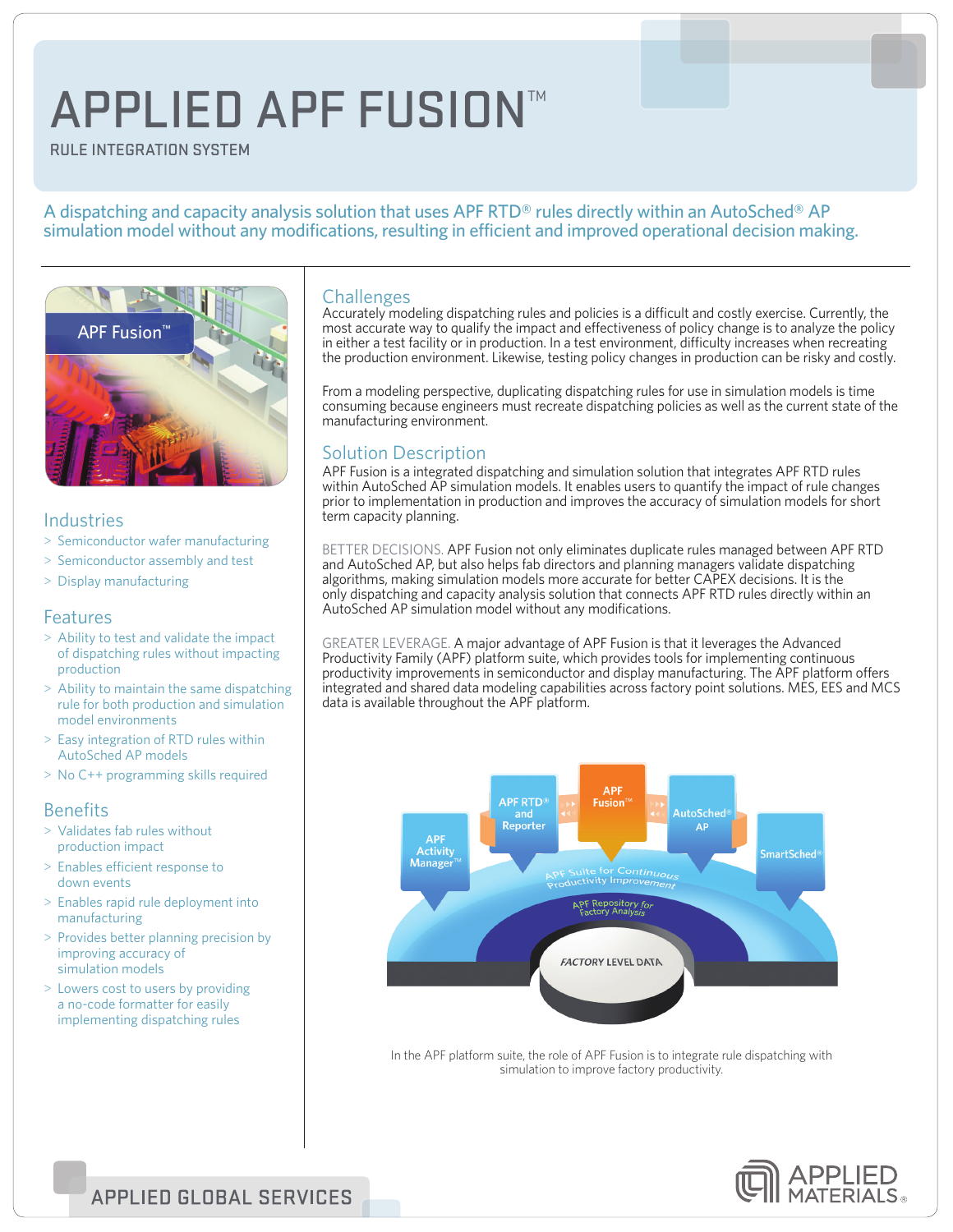# APPLIED APF FUSION™

Rule Integration System

#### A dispatching and capacity analysis solution that uses APF RTD<sup>®</sup> rules directly within an AutoSched<sup>®</sup> AP simulation model without any modifications, resulting in efficient and improved operational decision making.



#### Industries

- > Semiconductor wafer manufacturing
- > Semiconductor assembly and test
- > Display manufacturing

#### Features

- > Ability to test and validate the impact of dispatching rules without impacting production
- > Ability to maintain the same dispatching rule for both production and simulation model environments
- > Easy integration of RTD rules within AutoSched AP models
- > No C++ programming skills required

### **Benefits**

- > Validates fab rules without production impact
- > Enables efficient response to down events
- > Enables rapid rule deployment into manufacturing
- > Provides better planning precision by improving accuracy of simulation models
- > Lowers cost to users by providing a no-code formatter for easily implementing dispatching rules

#### Challenges

Accurately modeling dispatching rules and policies is a difficult and costly exercise. Currently, the most accurate way to qualify the impact and effectiveness of policy change is to analyze the policy in either a test facility or in production. In a test environment, difficulty increases when recreating the production environment. Likewise, testing policy changes in production can be risky and costly.

From a modeling perspective, duplicating dispatching rules for use in simulation models is time consuming because engineers must recreate dispatching policies as well as the current state of the manufacturing environment.

## Solution Description

APF Fusion is a integrated dispatching and simulation solution that integrates APF RTD rules within AutoSched AP simulation models. It enables users to quantify the impact of rule changes prior to implementation in production and improves the accuracy of simulation models for short term capacity planning.

BETTER DECISIONS. APF Fusion not only eliminates duplicate rules managed between APF RTD and AutoSched AP, but also helps fab directors and planning managers validate dispatching algorithms, making simulation models more accurate for better CAPEX decisions. It is the only dispatching and capacity analysis solution that connects APF RTD rules directly within an AutoSched AP simulation model without any modifications.

GREATER LEVERAGE. A major advantage of APF Fusion is that it leverages the Advanced Productivity Family (APF) platform suite, which provides tools for implementing continuous productivity improvements in semiconductor and display manufacturing. The APF platform offers integrated and shared data modeling capabilities across factory point solutions. MES, EES and MCS data is available throughout the APF platform.



In the APF platform suite, the role of APF Fusion is to integrate rule dispatching with simulation to improve factory productivity.